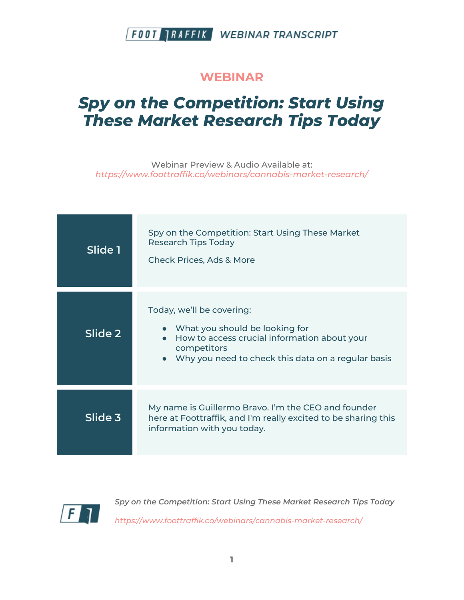#### **WEBINAR**

# *Spy on the Competition: Start Using These Market Research Tips Today*

Webinar Preview & Audio Available at: *https://www.foottraffik.co/webinars/cannabis-market-research/*

| Slide 1 | Spy on the Competition: Start Using These Market<br><b>Research Tips Today</b><br><b>Check Prices, Ads &amp; More</b>                                                              |
|---------|------------------------------------------------------------------------------------------------------------------------------------------------------------------------------------|
| Slide 2 | Today, we'll be covering:<br>• What you should be looking for<br>How to access crucial information about your<br>competitors<br>Why you need to check this data on a regular basis |
| Slide 3 | My name is Guillermo Bravo. I'm the CEO and founder<br>here at Foottraffik, and I'm really excited to be sharing this<br>information with you today.                               |

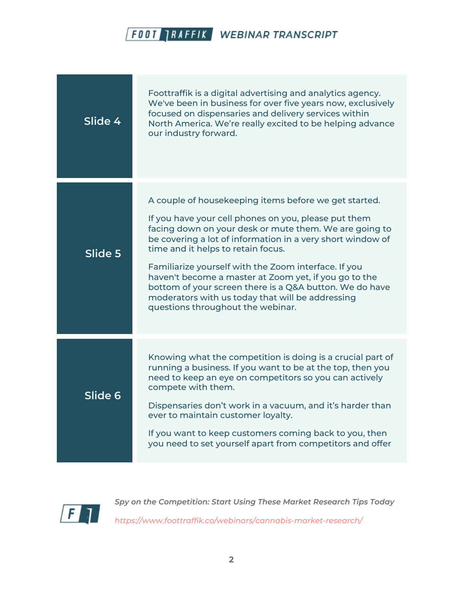

| Slide 4 | Foottraffik is a digital advertising and analytics agency.<br>We've been in business for over five years now, exclusively<br>focused on dispensaries and delivery services within<br>North America. We're really excited to be helping advance<br>our industry forward.                                                                                                                                                                                                                                                                          |
|---------|--------------------------------------------------------------------------------------------------------------------------------------------------------------------------------------------------------------------------------------------------------------------------------------------------------------------------------------------------------------------------------------------------------------------------------------------------------------------------------------------------------------------------------------------------|
| Slide 5 | A couple of housekeeping items before we get started.<br>If you have your cell phones on you, please put them<br>facing down on your desk or mute them. We are going to<br>be covering a lot of information in a very short window of<br>time and it helps to retain focus.<br>Familiarize yourself with the Zoom interface. If you<br>haven't become a master at Zoom yet, if you go to the<br>bottom of your screen there is a Q&A button. We do have<br>moderators with us today that will be addressing<br>questions throughout the webinar. |
| Slide 6 | Knowing what the competition is doing is a crucial part of<br>running a business. If you want to be at the top, then you<br>need to keep an eye on competitors so you can actively<br>compete with them.<br>Dispensaries don't work in a vacuum, and it's harder than<br>ever to maintain customer loyalty.<br>If you want to keep customers coming back to you, then<br>you need to set yourself apart from competitors and offer                                                                                                               |

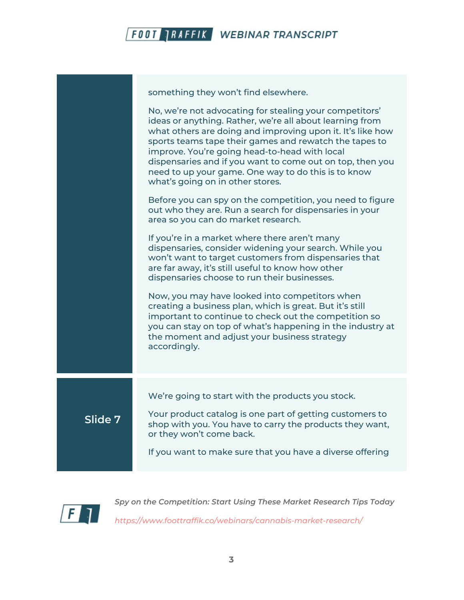

something they won't find elsewhere. No, we're not advocating for stealing your competitors' ideas or anything. Rather, we're all about learning from what others are doing and improving upon it. It's like how sports teams tape their games and rewatch the tapes to improve. You're going head-to-head with local dispensaries and if you want to come out on top, then you need to up your game. One way to do this is to know what's going on in other stores. Before you can spy on the competition, you need to figure out who they are. Run a search for dispensaries in your area so you can do market research. If you're in a market where there aren't many dispensaries, consider widening your search. While you won't want to target customers from dispensaries that are far away, it's still useful to know how other dispensaries choose to run their businesses. Now, you may have looked into competitors when creating a business plan, which is great. But it's still important to continue to check out the competition so you can stay on top of what's happening in the industry at the moment and adjust your business strategy accordingly. **Slide 7** We're going to start with the products you stock. Your product catalog is one part of getting customers to shop with you. You have to carry the products they want, or they won't come back. If you want to make sure that you have a diverse offering

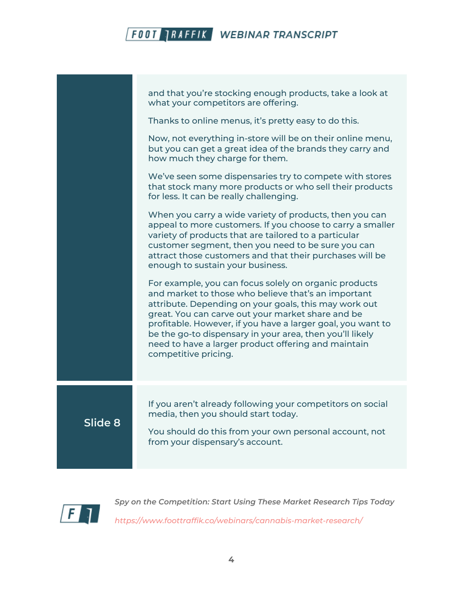|         | and that you're stocking enough products, take a look at<br>what your competitors are offering.                                                                                                                                                                                                                                                                                                                                      |
|---------|--------------------------------------------------------------------------------------------------------------------------------------------------------------------------------------------------------------------------------------------------------------------------------------------------------------------------------------------------------------------------------------------------------------------------------------|
|         | Thanks to online menus, it's pretty easy to do this.                                                                                                                                                                                                                                                                                                                                                                                 |
|         | Now, not everything in-store will be on their online menu,<br>but you can get a great idea of the brands they carry and<br>how much they charge for them.                                                                                                                                                                                                                                                                            |
|         | We've seen some dispensaries try to compete with stores<br>that stock many more products or who sell their products<br>for less. It can be really challenging.                                                                                                                                                                                                                                                                       |
|         | When you carry a wide variety of products, then you can<br>appeal to more customers. If you choose to carry a smaller<br>variety of products that are tailored to a particular<br>customer segment, then you need to be sure you can<br>attract those customers and that their purchases will be<br>enough to sustain your business.                                                                                                 |
|         | For example, you can focus solely on organic products<br>and market to those who believe that's an important<br>attribute. Depending on your goals, this may work out<br>great. You can carve out your market share and be<br>profitable. However, if you have a larger goal, you want to<br>be the go-to dispensary in your area, then you'll likely<br>need to have a larger product offering and maintain<br>competitive pricing. |
| Slide 8 | If you aren't already following your competitors on social<br>media, then you should start today.<br>You should do this from your own personal account, not<br>from your dispensary's account.                                                                                                                                                                                                                                       |
|         |                                                                                                                                                                                                                                                                                                                                                                                                                                      |

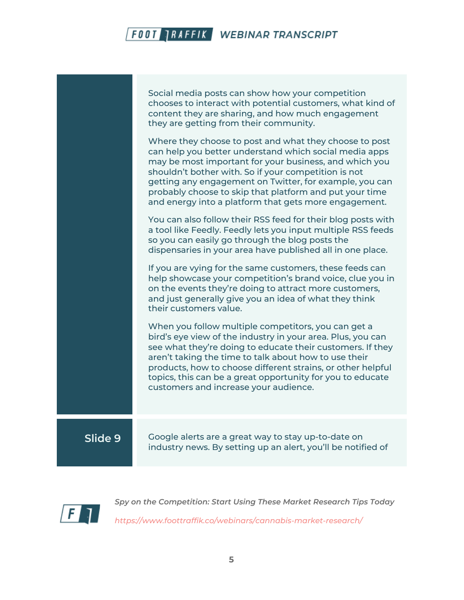|         | Social media posts can show how your competition<br>chooses to interact with potential customers, what kind of<br>content they are sharing, and how much engagement<br>they are getting from their community.<br>Where they choose to post and what they choose to post<br>can help you better understand which social media apps<br>may be most important for your business, and which you<br>shouldn't bother with. So if your competition is not<br>getting any engagement on Twitter, for example, you can<br>probably choose to skip that platform and put your time<br>and energy into a platform that gets more engagement.<br>You can also follow their RSS feed for their blog posts with<br>a tool like Feedly. Feedly lets you input multiple RSS feeds<br>so you can easily go through the blog posts the<br>dispensaries in your area have published all in one place.<br>If you are vying for the same customers, these feeds can<br>help showcase your competition's brand voice, clue you in<br>on the events they're doing to attract more customers,<br>and just generally give you an idea of what they think<br>their customers value.<br>When you follow multiple competitors, you can get a<br>bird's eye view of the industry in your area. Plus, you can<br>see what they're doing to educate their customers. If they<br>aren't taking the time to talk about how to use their<br>products, how to choose different strains, or other helpful<br>topics, this can be a great opportunity for you to educate<br>customers and increase your audience. |
|---------|-------------------------------------------------------------------------------------------------------------------------------------------------------------------------------------------------------------------------------------------------------------------------------------------------------------------------------------------------------------------------------------------------------------------------------------------------------------------------------------------------------------------------------------------------------------------------------------------------------------------------------------------------------------------------------------------------------------------------------------------------------------------------------------------------------------------------------------------------------------------------------------------------------------------------------------------------------------------------------------------------------------------------------------------------------------------------------------------------------------------------------------------------------------------------------------------------------------------------------------------------------------------------------------------------------------------------------------------------------------------------------------------------------------------------------------------------------------------------------------------------------------------------------------------------------------------------------|
| Slide 9 | Google alerts are a great way to stay up-to-date on<br>industry news. By setting up an alert, you'll be notified of                                                                                                                                                                                                                                                                                                                                                                                                                                                                                                                                                                                                                                                                                                                                                                                                                                                                                                                                                                                                                                                                                                                                                                                                                                                                                                                                                                                                                                                           |

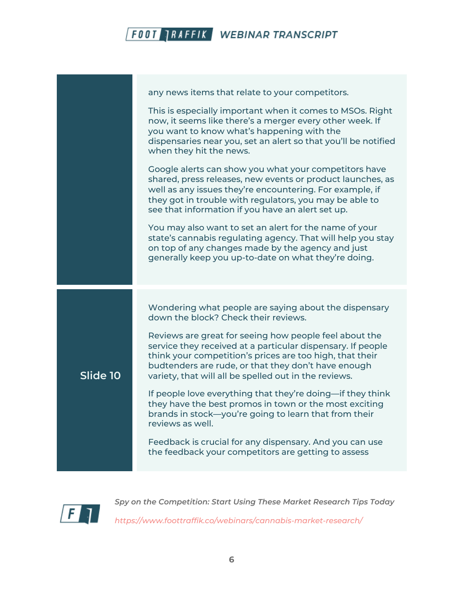

|          | any news items that relate to your competitors.                                                                                                                                                                                                                                                   |
|----------|---------------------------------------------------------------------------------------------------------------------------------------------------------------------------------------------------------------------------------------------------------------------------------------------------|
|          | This is especially important when it comes to MSOs. Right<br>now, it seems like there's a merger every other week. If<br>you want to know what's happening with the<br>dispensaries near you, set an alert so that you'll be notified<br>when they hit the news.                                  |
|          | Google alerts can show you what your competitors have<br>shared, press releases, new events or product launches, as<br>well as any issues they're encountering. For example, if<br>they got in trouble with regulators, you may be able to<br>see that information if you have an alert set up.   |
|          | You may also want to set an alert for the name of your<br>state's cannabis regulating agency. That will help you stay<br>on top of any changes made by the agency and just<br>generally keep you up-to-date on what they're doing.                                                                |
|          | Wondering what people are saying about the dispensary                                                                                                                                                                                                                                             |
|          | down the block? Check their reviews.                                                                                                                                                                                                                                                              |
| Slide 10 | Reviews are great for seeing how people feel about the<br>service they received at a particular dispensary. If people<br>think your competition's prices are too high, that their<br>budtenders are rude, or that they don't have enough<br>variety, that will all be spelled out in the reviews. |
|          | If people love everything that they're doing—if they think<br>they have the best promos in town or the most exciting<br>brands in stock-you're going to learn that from their<br>reviews as well.                                                                                                 |
|          | Feedback is crucial for any dispensary. And you can use<br>the feedback your competitors are getting to assess                                                                                                                                                                                    |

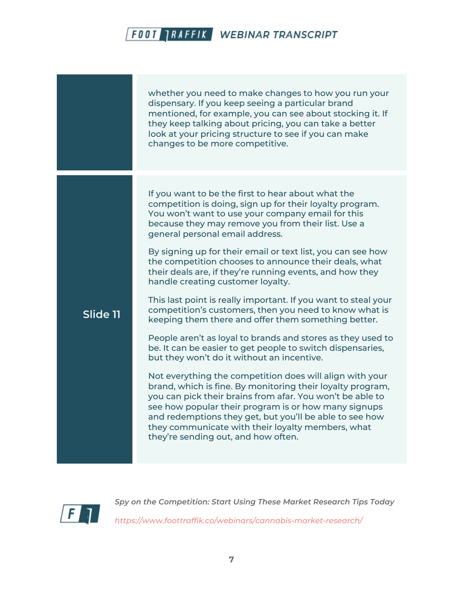|          | whether you need to make changes to how you run your<br>dispensary. If you keep seeing a particular brand<br>mentioned, for example, you can see about stocking it. If<br>they keep talking about pricing, you can take a better<br>look at your pricing structure to see if you can make<br>changes to be more competitive.                                                                       |
|----------|----------------------------------------------------------------------------------------------------------------------------------------------------------------------------------------------------------------------------------------------------------------------------------------------------------------------------------------------------------------------------------------------------|
|          | If you want to be the first to hear about what the<br>competition is doing, sign up for their loyalty program.<br>You won't want to use your company email for this<br>because they may remove you from their list. Use a<br>general personal email address.                                                                                                                                       |
|          | By signing up for their email or text list, you can see how<br>the competition chooses to announce their deals, what<br>their deals are, if they're running events, and how they<br>handle creating customer loyalty.                                                                                                                                                                              |
| Slide 11 | This last point is really important. If you want to steal your<br>competition's customers, then you need to know what is<br>keeping them there and offer them something better.                                                                                                                                                                                                                    |
|          | People aren't as loyal to brands and stores as they used to<br>be. It can be easier to get people to switch dispensaries,<br>but they won't do it without an incentive.                                                                                                                                                                                                                            |
|          | Not everything the competition does will align with your<br>brand, which is fine. By monitoring their loyalty program,<br>you can pick their brains from afar. You won't be able to<br>see how popular their program is or how many signups<br>and redemptions they get, but you'll be able to see how<br>they communicate with their loyalty members, what<br>they're sending out, and how often. |

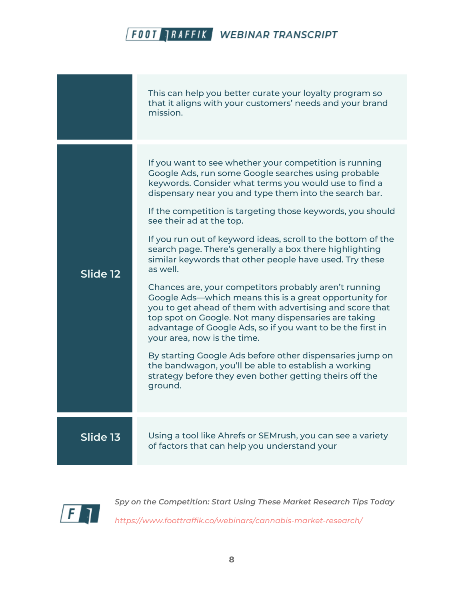|          | This can help you better curate your loyalty program so<br>that it aligns with your customers' needs and your brand<br>mission.                                                                                                                                                                                                                                                                                                                                                                                                                                                                                                                                                                                                                                                                                                                                                                                                                                                                                                                            |
|----------|------------------------------------------------------------------------------------------------------------------------------------------------------------------------------------------------------------------------------------------------------------------------------------------------------------------------------------------------------------------------------------------------------------------------------------------------------------------------------------------------------------------------------------------------------------------------------------------------------------------------------------------------------------------------------------------------------------------------------------------------------------------------------------------------------------------------------------------------------------------------------------------------------------------------------------------------------------------------------------------------------------------------------------------------------------|
| Slide 12 | If you want to see whether your competition is running<br>Google Ads, run some Google searches using probable<br>keywords. Consider what terms you would use to find a<br>dispensary near you and type them into the search bar.<br>If the competition is targeting those keywords, you should<br>see their ad at the top.<br>If you run out of keyword ideas, scroll to the bottom of the<br>search page. There's generally a box there highlighting<br>similar keywords that other people have used. Try these<br>as well.<br>Chances are, your competitors probably aren't running<br>Google Ads—which means this is a great opportunity for<br>you to get ahead of them with advertising and score that<br>top spot on Google. Not many dispensaries are taking<br>advantage of Google Ads, so if you want to be the first in<br>your area, now is the time.<br>By starting Google Ads before other dispensaries jump on<br>the bandwagon, you'll be able to establish a working<br>strategy before they even bother getting theirs off the<br>ground. |
| Slide 13 | Using a tool like Ahrefs or SEMrush, you can see a variety<br>of factors that can help you understand your                                                                                                                                                                                                                                                                                                                                                                                                                                                                                                                                                                                                                                                                                                                                                                                                                                                                                                                                                 |

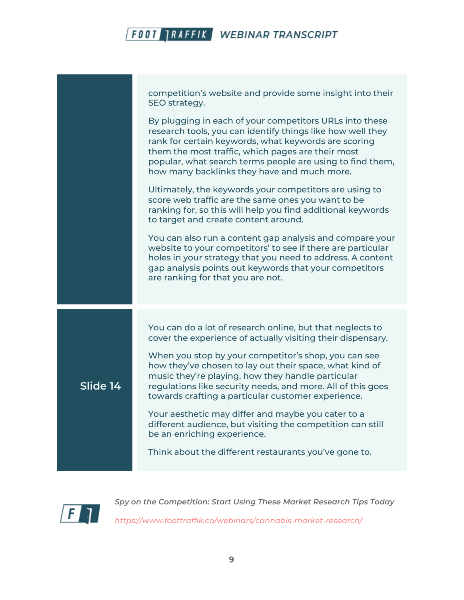

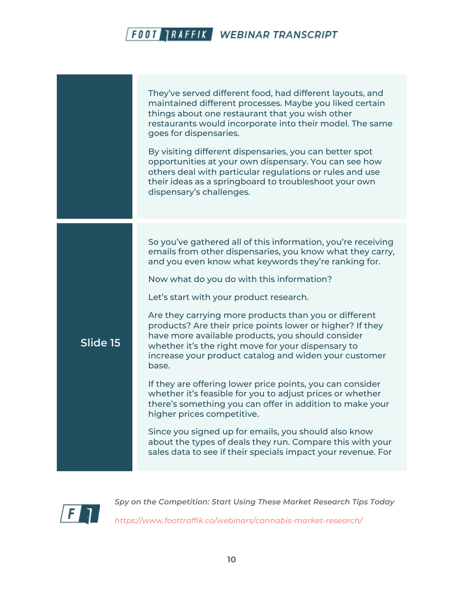|          | They've served different food, had different layouts, and<br>maintained different processes. Maybe you liked certain<br>things about one restaurant that you wish other<br>restaurants would incorporate into their model. The same<br>goes for dispensaries.<br>By visiting different dispensaries, you can better spot<br>opportunities at your own dispensary. You can see how<br>others deal with particular regulations or rules and use<br>their ideas as a springboard to troubleshoot your own<br>dispensary's challenges.                                                                                                                                                                                                                                                                                                                                                                                                                                                    |
|----------|---------------------------------------------------------------------------------------------------------------------------------------------------------------------------------------------------------------------------------------------------------------------------------------------------------------------------------------------------------------------------------------------------------------------------------------------------------------------------------------------------------------------------------------------------------------------------------------------------------------------------------------------------------------------------------------------------------------------------------------------------------------------------------------------------------------------------------------------------------------------------------------------------------------------------------------------------------------------------------------|
| Slide 15 | So you've gathered all of this information, you're receiving<br>emails from other dispensaries, you know what they carry,<br>and you even know what keywords they're ranking for.<br>Now what do you do with this information?<br>Let's start with your product research.<br>Are they carrying more products than you or different<br>products? Are their price points lower or higher? If they<br>have more available products, you should consider<br>whether it's the right move for your dispensary to<br>increase your product catalog and widen your customer<br>base.<br>If they are offering lower price points, you can consider<br>whether it's feasible for you to adjust prices or whether<br>there's something you can offer in addition to make your<br>higher prices competitive.<br>Since you signed up for emails, you should also know<br>about the types of deals they run. Compare this with your<br>sales data to see if their specials impact your revenue. For |

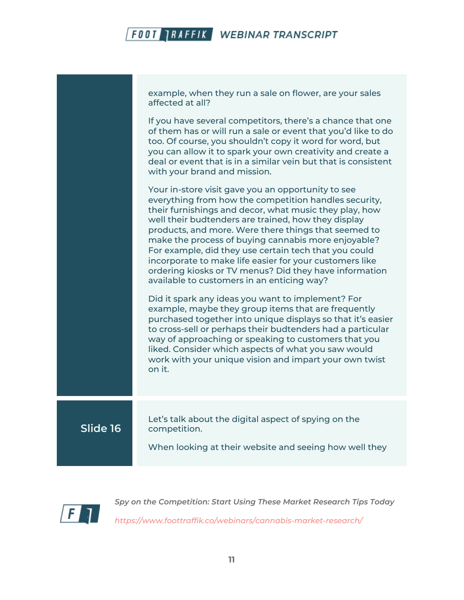|          | example, when they run a sale on flower, are your sales<br>affected at all?<br>If you have several competitors, there's a chance that one                                                                                                                                                                                                                                                                                                                                                                                                                               |
|----------|-------------------------------------------------------------------------------------------------------------------------------------------------------------------------------------------------------------------------------------------------------------------------------------------------------------------------------------------------------------------------------------------------------------------------------------------------------------------------------------------------------------------------------------------------------------------------|
|          | of them has or will run a sale or event that you'd like to do<br>too. Of course, you shouldn't copy it word for word, but<br>you can allow it to spark your own creativity and create a<br>deal or event that is in a similar vein but that is consistent<br>with your brand and mission.                                                                                                                                                                                                                                                                               |
|          | Your in-store visit gave you an opportunity to see<br>everything from how the competition handles security,<br>their furnishings and decor, what music they play, how<br>well their budtenders are trained, how they display<br>products, and more. Were there things that seemed to<br>make the process of buying cannabis more enjoyable?<br>For example, did they use certain tech that you could<br>incorporate to make life easier for your customers like<br>ordering kiosks or TV menus? Did they have information<br>available to customers in an enticing way? |
|          | Did it spark any ideas you want to implement? For<br>example, maybe they group items that are frequently<br>purchased together into unique displays so that it's easier<br>to cross-sell or perhaps their budtenders had a particular<br>way of approaching or speaking to customers that you<br>liked. Consider which aspects of what you saw would<br>work with your unique vision and impart your own twist<br>on it.                                                                                                                                                |
| Slide 16 | Let's talk about the digital aspect of spying on the<br>competition.<br>When looking at their website and seeing how well they                                                                                                                                                                                                                                                                                                                                                                                                                                          |
|          |                                                                                                                                                                                                                                                                                                                                                                                                                                                                                                                                                                         |

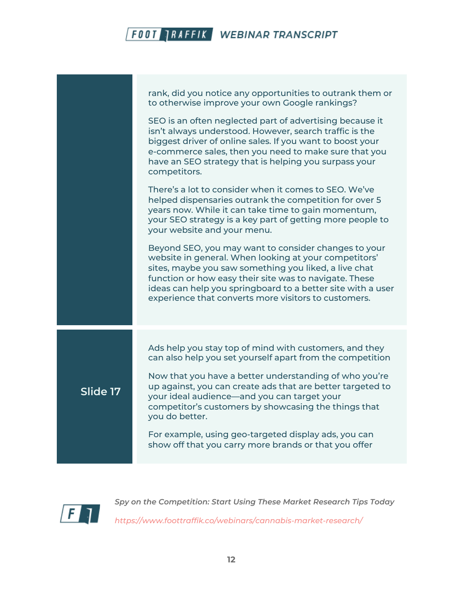|          | rank, did you notice any opportunities to outrank them or<br>to otherwise improve your own Google rankings?                                                                                                                                                                                                                                             |
|----------|---------------------------------------------------------------------------------------------------------------------------------------------------------------------------------------------------------------------------------------------------------------------------------------------------------------------------------------------------------|
|          | SEO is an often neglected part of advertising because it<br>isn't always understood. However, search traffic is the<br>biggest driver of online sales. If you want to boost your<br>e-commerce sales, then you need to make sure that you<br>have an SEO strategy that is helping you surpass your<br>competitors.                                      |
|          | There's a lot to consider when it comes to SEO. We've<br>helped dispensaries outrank the competition for over 5<br>years now. While it can take time to gain momentum,<br>your SEO strategy is a key part of getting more people to<br>your website and your menu.                                                                                      |
|          | Beyond SEO, you may want to consider changes to your<br>website in general. When looking at your competitors'<br>sites, maybe you saw something you liked, a live chat<br>function or how easy their site was to navigate. These<br>ideas can help you springboard to a better site with a user<br>experience that converts more visitors to customers. |
|          | Ads help you stay top of mind with customers, and they<br>can also help you set yourself apart from the competition                                                                                                                                                                                                                                     |
| Slide 17 | Now that you have a better understanding of who you're<br>up against, you can create ads that are better targeted to<br>your ideal audience—and you can target your<br>competitor's customers by showcasing the things that<br>you do better.                                                                                                           |
|          | For example, using geo-targeted display ads, you can<br>show off that you carry more brands or that you offer                                                                                                                                                                                                                                           |

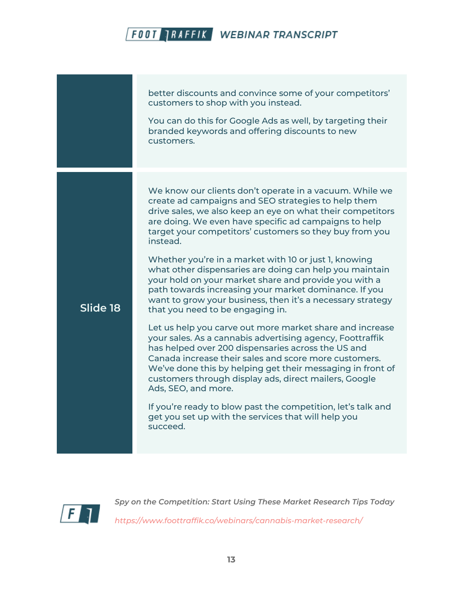better discounts and convince some of your competitors' customers to shop with you instead. You can do this for Google Ads as well, by targeting their branded keywords and offering discounts to new customers. **Slide 18** We know our clients don't operate in a vacuum. While we create ad campaigns and SEO strategies to help them drive sales, we also keep an eye on what their competitors are doing. We even have specific ad campaigns to help target your competitors' customers so they buy from you instead. Whether you're in a market with 10 or just 1, knowing what other dispensaries are doing can help you maintain your hold on your market share and provide you with a path towards increasing your market dominance. If you want to grow your business, then it's a necessary strategy that you need to be engaging in. Let us help you carve out more market share and increase your sales. As a cannabis advertising agency, Foottraffik has helped over 200 dispensaries across the US and Canada increase their sales and score more customers. We've done this by helping get their messaging in front of customers through display ads, direct mailers, Google Ads, SEO, and more. If you're ready to blow past the competition, let's talk and get you set up with the services that will help you succeed.



*Spy on the Competition: Start Using These Market Research Tips Today https://www.foottraffik.co/webinars/cannabis-market-research/*

**13**